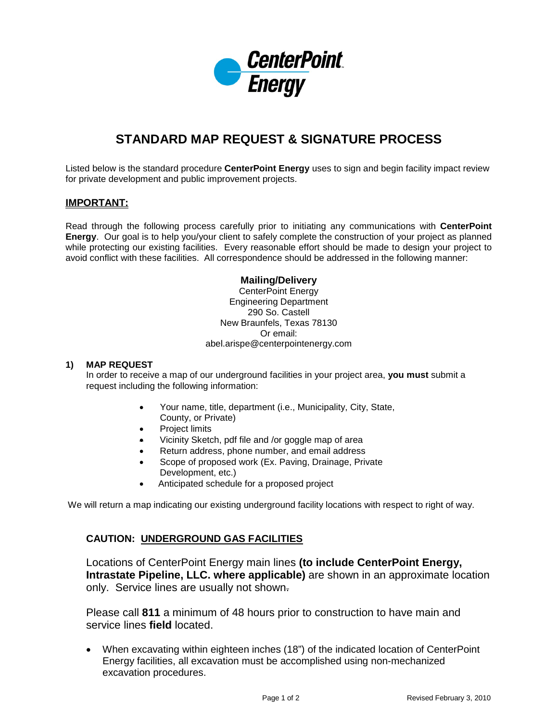

# **STANDARD MAP REQUEST & SIGNATURE PROCESS**

Listed below is the standard procedure **CenterPoint Energy** uses to sign and begin facility impact review for private development and public improvement projects.

# **IMPORTANT:**

Read through the following process carefully prior to initiating any communications with **CenterPoint Energy**. Our goal is to help you/your client to safely complete the construction of your project as planned while protecting our existing facilities. Every reasonable effort should be made to design your project to avoid conflict with these facilities. All correspondence should be addressed in the following manner:

## **Mailing/Delivery**

CenterPoint Energy Engineering Department 290 So. Castell New Braunfels, Texas 78130 Or email: abel.arispe@centerpointenergy.com

#### **1) MAP REQUEST**

In order to receive a map of our underground facilities in your project area, **you must** submit a request including the following information:

- Your name, title, department (i.e., Municipality, City, State, County, or Private)
- **Project limits**
- Vicinity Sketch, pdf file and /or goggle map of area
- Return address, phone number, and email address
- Scope of proposed work (Ex. Paving, Drainage, Private Development, etc.)
- Anticipated schedule for a proposed project

We will return a map indicating our existing underground facility locations with respect to right of way.

## **CAUTION: UNDERGROUND GAS FACILITIES**

Locations of CenterPoint Energy main lines **(to include CenterPoint Energy, Intrastate Pipeline, LLC. where applicable)** are shown in an approximate location only. Service lines are usually not shown.

Please call **811** a minimum of 48 hours prior to construction to have main and service lines **field** located.

• When excavating within eighteen inches (18") of the indicated location of CenterPoint Energy facilities, all excavation must be accomplished using non-mechanized excavation procedures.